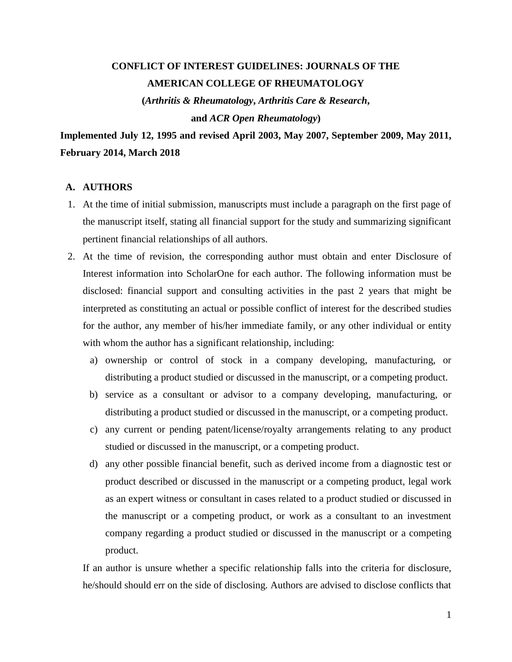# **CONFLICT OF INTEREST GUIDELINES: JOURNALS OF THE AMERICAN COLLEGE OF RHEUMATOLOGY**

**(***Arthritis & Rheumatology***,** *Arthritis Care & Research***, and** *ACR Open Rheumatology***)**

**Implemented July 12, 1995 and revised April 2003, May 2007, September 2009, May 2011, February 2014, March 2018**

## **A. AUTHORS**

- 1. At the time of initial submission, manuscripts must include a paragraph on the first page of the manuscript itself, stating all financial support for the study and summarizing significant pertinent financial relationships of all authors.
- 2. At the time of revision, the corresponding author must obtain and enter Disclosure of Interest information into ScholarOne for each author. The following information must be disclosed: financial support and consulting activities in the past 2 years that might be interpreted as constituting an actual or possible conflict of interest for the described studies for the author, any member of his/her immediate family, or any other individual or entity with whom the author has a significant relationship, including:
	- a) ownership or control of stock in a company developing, manufacturing, or distributing a product studied or discussed in the manuscript, or a competing product.
	- b) service as a consultant or advisor to a company developing, manufacturing, or distributing a product studied or discussed in the manuscript, or a competing product.
	- c) any current or pending patent/license/royalty arrangements relating to any product studied or discussed in the manuscript, or a competing product.
	- d) any other possible financial benefit, such as derived income from a diagnostic test or product described or discussed in the manuscript or a competing product, legal work as an expert witness or consultant in cases related to a product studied or discussed in the manuscript or a competing product, or work as a consultant to an investment company regarding a product studied or discussed in the manuscript or a competing product.

If an author is unsure whether a specific relationship falls into the criteria for disclosure, he/should should err on the side of disclosing. Authors are advised to disclose conflicts that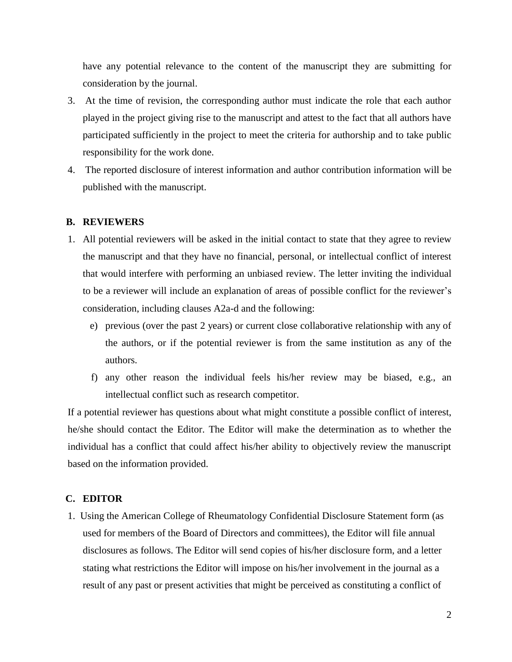have any potential relevance to the content of the manuscript they are submitting for consideration by the journal.

- 3. At the time of revision, the corresponding author must indicate the role that each author played in the project giving rise to the manuscript and attest to the fact that all authors have participated sufficiently in the project to meet the criteria for authorship and to take public responsibility for the work done.
- 4. The reported disclosure of interest information and author contribution information will be published with the manuscript.

#### **B. REVIEWERS**

- 1. All potential reviewers will be asked in the initial contact to state that they agree to review the manuscript and that they have no financial, personal, or intellectual conflict of interest that would interfere with performing an unbiased review. The letter inviting the individual to be a reviewer will include an explanation of areas of possible conflict for the reviewer's consideration, including clauses A2a-d and the following:
	- e) previous (over the past 2 years) or current close collaborative relationship with any of the authors, or if the potential reviewer is from the same institution as any of the authors.
	- f) any other reason the individual feels his/her review may be biased, e.g., an intellectual conflict such as research competitor.

If a potential reviewer has questions about what might constitute a possible conflict of interest, he/she should contact the Editor. The Editor will make the determination as to whether the individual has a conflict that could affect his/her ability to objectively review the manuscript based on the information provided.

## **C. EDITOR**

 1. Using the American College of Rheumatology Confidential Disclosure Statement form (as used for members of the Board of Directors and committees), the Editor will file annual disclosures as follows. The Editor will send copies of his/her disclosure form, and a letter stating what restrictions the Editor will impose on his/her involvement in the journal as a result of any past or present activities that might be perceived as constituting a conflict of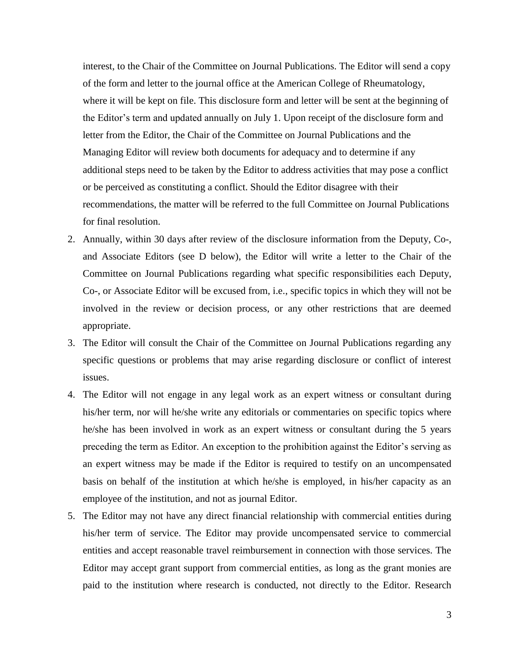interest, to the Chair of the Committee on Journal Publications. The Editor will send a copy of the form and letter to the journal office at the American College of Rheumatology, where it will be kept on file. This disclosure form and letter will be sent at the beginning of the Editor's term and updated annually on July 1. Upon receipt of the disclosure form and letter from the Editor, the Chair of the Committee on Journal Publications and the Managing Editor will review both documents for adequacy and to determine if any additional steps need to be taken by the Editor to address activities that may pose a conflict or be perceived as constituting a conflict. Should the Editor disagree with their recommendations, the matter will be referred to the full Committee on Journal Publications for final resolution.

- 2. Annually, within 30 days after review of the disclosure information from the Deputy, Co-, and Associate Editors (see D below), the Editor will write a letter to the Chair of the Committee on Journal Publications regarding what specific responsibilities each Deputy, Co-, or Associate Editor will be excused from, i.e., specific topics in which they will not be involved in the review or decision process, or any other restrictions that are deemed appropriate.
- 3. The Editor will consult the Chair of the Committee on Journal Publications regarding any specific questions or problems that may arise regarding disclosure or conflict of interest issues.
- 4. The Editor will not engage in any legal work as an expert witness or consultant during his/her term, nor will he/she write any editorials or commentaries on specific topics where he/she has been involved in work as an expert witness or consultant during the 5 years preceding the term as Editor. An exception to the prohibition against the Editor's serving as an expert witness may be made if the Editor is required to testify on an uncompensated basis on behalf of the institution at which he/she is employed, in his/her capacity as an employee of the institution, and not as journal Editor.
- 5. The Editor may not have any direct financial relationship with commercial entities during his/her term of service. The Editor may provide uncompensated service to commercial entities and accept reasonable travel reimbursement in connection with those services. The Editor may accept grant support from commercial entities, as long as the grant monies are paid to the institution where research is conducted, not directly to the Editor. Research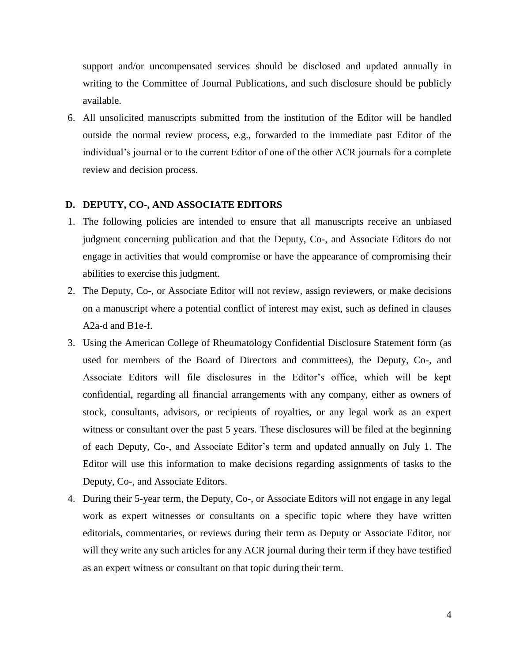support and/or uncompensated services should be disclosed and updated annually in writing to the Committee of Journal Publications, and such disclosure should be publicly available.

 6. All unsolicited manuscripts submitted from the institution of the Editor will be handled outside the normal review process, e.g., forwarded to the immediate past Editor of the individual's journal or to the current Editor of one of the other ACR journals for a complete review and decision process.

## **D. DEPUTY, CO-, AND ASSOCIATE EDITORS**

- 1. The following policies are intended to ensure that all manuscripts receive an unbiased judgment concerning publication and that the Deputy, Co-, and Associate Editors do not engage in activities that would compromise or have the appearance of compromising their abilities to exercise this judgment.
- 2. The Deputy, Co-, or Associate Editor will not review, assign reviewers, or make decisions on a manuscript where a potential conflict of interest may exist, such as defined in clauses A2a-d and B1e-f.
- 3. Using the American College of Rheumatology Confidential Disclosure Statement form (as used for members of the Board of Directors and committees), the Deputy, Co-, and Associate Editors will file disclosures in the Editor's office, which will be kept confidential, regarding all financial arrangements with any company, either as owners of stock, consultants, advisors, or recipients of royalties, or any legal work as an expert witness or consultant over the past 5 years. These disclosures will be filed at the beginning of each Deputy, Co-, and Associate Editor's term and updated annually on July 1. The Editor will use this information to make decisions regarding assignments of tasks to the Deputy, Co-, and Associate Editors.
- 4. During their 5-year term, the Deputy, Co-, or Associate Editors will not engage in any legal work as expert witnesses or consultants on a specific topic where they have written editorials, commentaries, or reviews during their term as Deputy or Associate Editor, nor will they write any such articles for any ACR journal during their term if they have testified as an expert witness or consultant on that topic during their term.